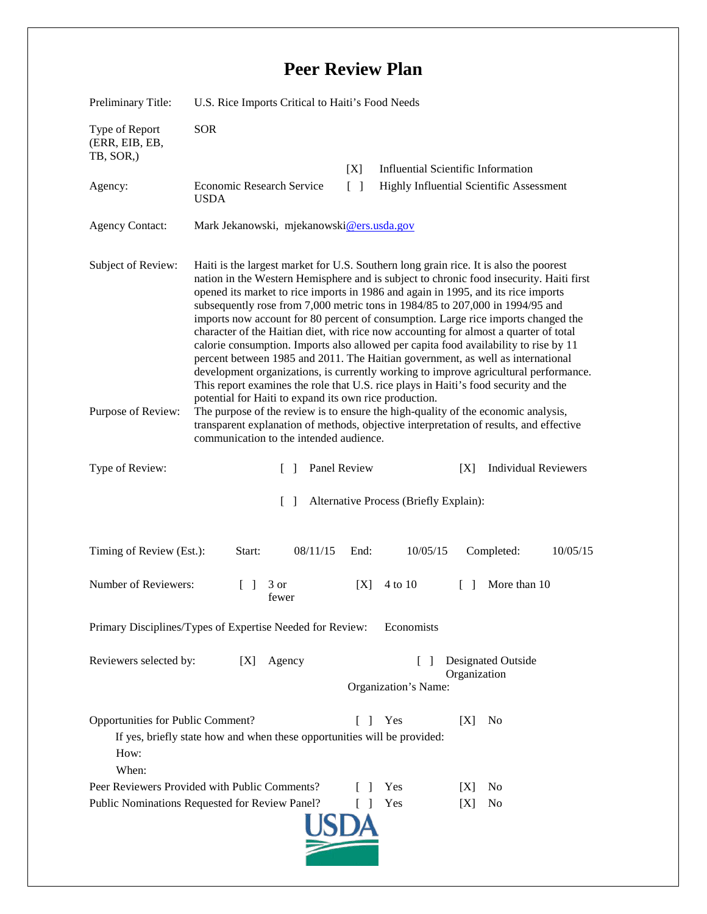## **Peer Review Plan**

| Preliminary Title:                                                                                                                                                       | U.S. Rice Imports Critical to Haiti's Food Needs                                                                                                                                                                                                                                                                                                                                                                                                                                                                                                                                                                                                                                                                                                                                                                                                                                                                                                                                                                                                                                                                                                                                   |                 |                                           |                                           |                             |          |
|--------------------------------------------------------------------------------------------------------------------------------------------------------------------------|------------------------------------------------------------------------------------------------------------------------------------------------------------------------------------------------------------------------------------------------------------------------------------------------------------------------------------------------------------------------------------------------------------------------------------------------------------------------------------------------------------------------------------------------------------------------------------------------------------------------------------------------------------------------------------------------------------------------------------------------------------------------------------------------------------------------------------------------------------------------------------------------------------------------------------------------------------------------------------------------------------------------------------------------------------------------------------------------------------------------------------------------------------------------------------|-----------------|-------------------------------------------|-------------------------------------------|-----------------------------|----------|
| Type of Report<br>(ERR, EIB, EB,<br>TB, SOR,)                                                                                                                            | <b>SOR</b>                                                                                                                                                                                                                                                                                                                                                                                                                                                                                                                                                                                                                                                                                                                                                                                                                                                                                                                                                                                                                                                                                                                                                                         |                 |                                           |                                           |                             |          |
|                                                                                                                                                                          |                                                                                                                                                                                                                                                                                                                                                                                                                                                                                                                                                                                                                                                                                                                                                                                                                                                                                                                                                                                                                                                                                                                                                                                    | [X]             | <b>Influential Scientific Information</b> |                                           |                             |          |
| Agency:                                                                                                                                                                  | Economic Research Service<br><b>USDA</b>                                                                                                                                                                                                                                                                                                                                                                                                                                                                                                                                                                                                                                                                                                                                                                                                                                                                                                                                                                                                                                                                                                                                           | $\lceil \rceil$ | Highly Influential Scientific Assessment  |                                           |                             |          |
| <b>Agency Contact:</b>                                                                                                                                                   | Mark Jekanowski, mjekanowski@ers.usda.gov                                                                                                                                                                                                                                                                                                                                                                                                                                                                                                                                                                                                                                                                                                                                                                                                                                                                                                                                                                                                                                                                                                                                          |                 |                                           |                                           |                             |          |
| Subject of Review:<br>Purpose of Review:                                                                                                                                 | Haiti is the largest market for U.S. Southern long grain rice. It is also the poorest<br>nation in the Western Hemisphere and is subject to chronic food insecurity. Haiti first<br>opened its market to rice imports in 1986 and again in 1995, and its rice imports<br>subsequently rose from 7,000 metric tons in 1984/85 to 207,000 in 1994/95 and<br>imports now account for 80 percent of consumption. Large rice imports changed the<br>character of the Haitian diet, with rice now accounting for almost a quarter of total<br>calorie consumption. Imports also allowed per capita food availability to rise by 11<br>percent between 1985 and 2011. The Haitian government, as well as international<br>development organizations, is currently working to improve agricultural performance.<br>This report examines the role that U.S. rice plays in Haiti's food security and the<br>potential for Haiti to expand its own rice production.<br>The purpose of the review is to ensure the high-quality of the economic analysis,<br>transparent explanation of methods, objective interpretation of results, and effective<br>communication to the intended audience. |                 |                                           |                                           |                             |          |
| Type of Review:                                                                                                                                                          | $\Box$                                                                                                                                                                                                                                                                                                                                                                                                                                                                                                                                                                                                                                                                                                                                                                                                                                                                                                                                                                                                                                                                                                                                                                             | Panel Review    |                                           | [X]                                       | <b>Individual Reviewers</b> |          |
| Alternative Process (Briefly Explain):<br>$\Box$                                                                                                                         |                                                                                                                                                                                                                                                                                                                                                                                                                                                                                                                                                                                                                                                                                                                                                                                                                                                                                                                                                                                                                                                                                                                                                                                    |                 |                                           |                                           |                             |          |
| Timing of Review (Est.):                                                                                                                                                 | 08/11/15<br>Start:                                                                                                                                                                                                                                                                                                                                                                                                                                                                                                                                                                                                                                                                                                                                                                                                                                                                                                                                                                                                                                                                                                                                                                 | End:            | 10/05/15                                  |                                           | Completed:                  | 10/05/15 |
| Number of Reviewers:                                                                                                                                                     | 3 or<br>fewer                                                                                                                                                                                                                                                                                                                                                                                                                                                                                                                                                                                                                                                                                                                                                                                                                                                                                                                                                                                                                                                                                                                                                                      | [X]             | 4 to 10                                   | $\mathbf{I}$                              | More than 10                |          |
| Economists<br>Primary Disciplines/Types of Expertise Needed for Review:                                                                                                  |                                                                                                                                                                                                                                                                                                                                                                                                                                                                                                                                                                                                                                                                                                                                                                                                                                                                                                                                                                                                                                                                                                                                                                                    |                 |                                           |                                           |                             |          |
| Reviewers selected by:<br>Agency<br>[X]                                                                                                                                  |                                                                                                                                                                                                                                                                                                                                                                                                                                                                                                                                                                                                                                                                                                                                                                                                                                                                                                                                                                                                                                                                                                                                                                                    |                 | $\mathbf{L}$<br>Organization's Name:      | <b>Designated Outside</b><br>Organization |                             |          |
| Opportunities for Public Comment?<br>Yes<br>[X]<br>N <sub>0</sub><br>$\Box$<br>If yes, briefly state how and when these opportunities will be provided:<br>How:<br>When: |                                                                                                                                                                                                                                                                                                                                                                                                                                                                                                                                                                                                                                                                                                                                                                                                                                                                                                                                                                                                                                                                                                                                                                                    |                 |                                           |                                           |                             |          |
|                                                                                                                                                                          | Peer Reviewers Provided with Public Comments?                                                                                                                                                                                                                                                                                                                                                                                                                                                                                                                                                                                                                                                                                                                                                                                                                                                                                                                                                                                                                                                                                                                                      |                 | Yes                                       | IXI                                       | No                          |          |
| Yes<br>Public Nominations Requested for Review Panel?<br>No<br>[X]                                                                                                       |                                                                                                                                                                                                                                                                                                                                                                                                                                                                                                                                                                                                                                                                                                                                                                                                                                                                                                                                                                                                                                                                                                                                                                                    |                 |                                           |                                           |                             |          |